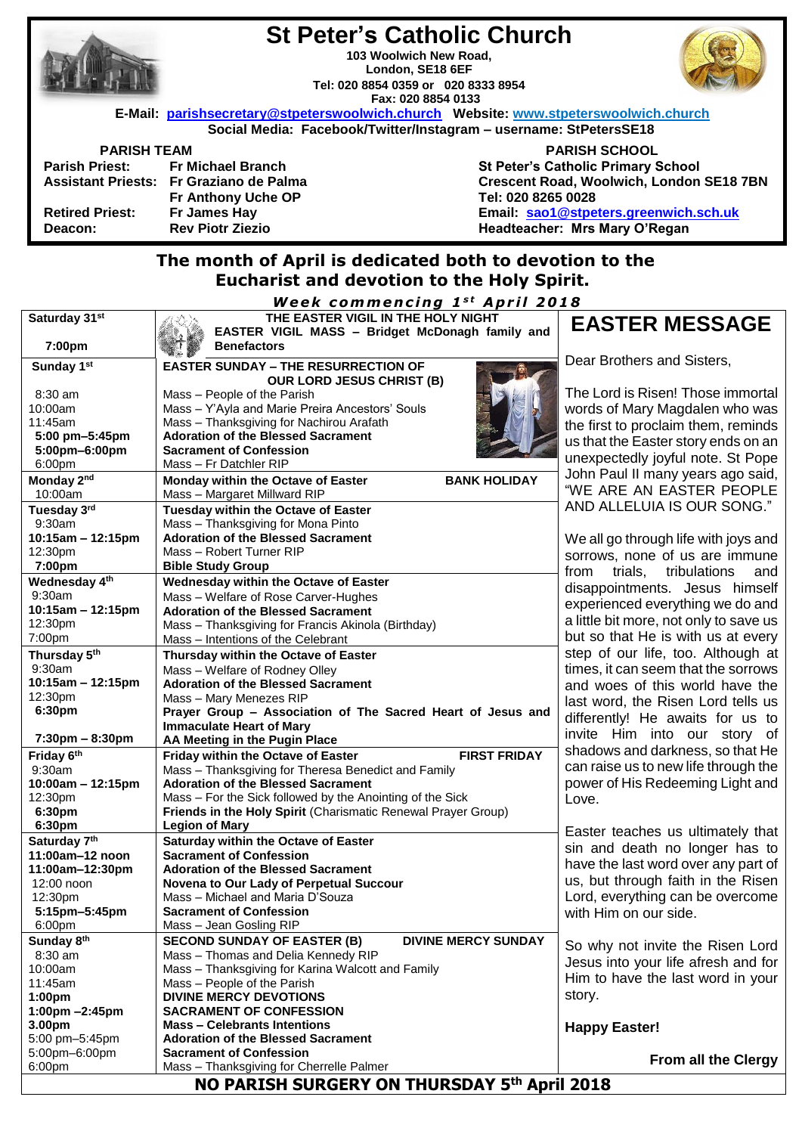|                                                                   | <u>St Peter's Gatholic Ghurch</u>                                                    |                                           |  |  |
|-------------------------------------------------------------------|--------------------------------------------------------------------------------------|-------------------------------------------|--|--|
|                                                                   | 103 Woolwich New Road.                                                               |                                           |  |  |
|                                                                   | London, SE18 6EF                                                                     |                                           |  |  |
|                                                                   | Tel: 020 8854 0359 or 020 8333 8954                                                  |                                           |  |  |
|                                                                   | Fax: 020 8854 0133                                                                   |                                           |  |  |
|                                                                   | E-Mail: parishsecretary@stpeterswoolwich.church Website: www.stpeterswoolwich.church |                                           |  |  |
| Social Media: Facebook/Twitter/Instagram - username: StPetersSE18 |                                                                                      |                                           |  |  |
| <b>PARISH TEAM</b>                                                |                                                                                      | <b>PARISH SCHOOL</b>                      |  |  |
|                                                                   | Parish Priest: Fr Michael Branch                                                     | <b>St Peter's Catholic Primary School</b> |  |  |
|                                                                   | Assistant Priests: Fr Graziano de Palma                                              | Crescent Road, Woolwich, London SE18 7BN  |  |  |
|                                                                   | Fr Anthony Uche OP                                                                   | Tel: 020 8265 0028                        |  |  |
| <b>Retired Priest:</b>                                            | Fr James Hay                                                                         | Email: sao1@stpeters.greenwich.sch.uk     |  |  |
| Deacon:                                                           | <b>Rev Piotr Ziezio</b>                                                              | Headteacher: Mrs Mary O'Regan             |  |  |
| The month of Anril is dedicated both to devotion to the           |                                                                                      |                                           |  |  |

**St Peter's Catholic Church**

# **The month of April is dedicated both to devotion to the Eucharist and devotion to the Holy Spirit.**

*Week commencing 1st April 2018* 

| Saturday 31st                     | THE EASTER VIGIL IN THE HOLY NIGHT                                          | <b>EAST</b>       |
|-----------------------------------|-----------------------------------------------------------------------------|-------------------|
|                                   | EASTER VIGIL MASS - Bridget McDonagh family and                             |                   |
| 7:00pm                            | <b>Benefactors</b>                                                          |                   |
| Sunday 1st                        | <b>EASTER SUNDAY - THE RESURRECTION OF</b>                                  | Dear Brot         |
|                                   | <b>OUR LORD JESUS CHRIST (B)</b>                                            |                   |
| $8:30$ am                         | Mass - People of the Parish                                                 | The Lord i        |
| 10:00am                           | Mass - Y'Ayla and Marie Preira Ancestors' Souls                             | words of N        |
| 11:45am                           | Mass - Thanksgiving for Nachirou Arafath                                    | the first to      |
| 5:00 pm-5:45pm                    | <b>Adoration of the Blessed Sacrament</b>                                   | us that the       |
| 5:00pm-6:00pm                     | <b>Sacrament of Confession</b>                                              |                   |
| 6:00pm                            | Mass - Fr Datchler RIP                                                      | unexpecte         |
| Monday 2 <sup>nd</sup>            | Monday within the Octave of Easter<br><b>BANK HOLIDAY</b>                   | John Paul         |
| 10:00am                           | Mass - Margaret Millward RIP                                                | "WE ARE           |
| Tuesday 3rd                       | Tuesday within the Octave of Easter                                         | <b>AND ALLI</b>   |
| 9:30am                            | Mass - Thanksgiving for Mona Pinto                                          |                   |
| 10:15am - 12:15pm                 | <b>Adoration of the Blessed Sacrament</b>                                   | We all go         |
| 12:30pm                           | Mass - Robert Turner RIP                                                    | SOrrows, I        |
| 7:00pm                            | <b>Bible Study Group</b>                                                    | from<br>tri       |
| Wednesday 4th                     | Wednesday within the Octave of Easter                                       | disappoin         |
| 9:30am                            | Mass - Welfare of Rose Carver-Hughes                                        |                   |
| 10:15am - 12:15pm                 | <b>Adoration of the Blessed Sacrament</b>                                   | experienc         |
| 12:30pm                           | Mass - Thanksgiving for Francis Akinola (Birthday)                          | a little bit r    |
| 7:00pm                            | Mass - Intentions of the Celebrant                                          | but so tha        |
| Thursday 5th                      | Thursday within the Octave of Easter                                        | step of o         |
| 9:30am                            | Mass - Welfare of Rodney Olley                                              | times, it ca      |
| 10:15am - 12:15pm                 | <b>Adoration of the Blessed Sacrament</b>                                   | and woes          |
| 12:30pm                           | Mass - Mary Menezes RIP                                                     | last word,        |
| 6:30pm                            | Prayer Group - Association of The Sacred Heart of Jesus and                 | differently       |
|                                   | <b>Immaculate Heart of Mary</b>                                             | invite Hi         |
| $7:30 \text{pm} - 8:30 \text{pm}$ | AA Meeting in the Pugin Place                                               |                   |
| Friday 6th                        | <b>FIRST FRIDAY</b><br><b>Friday within the Octave of Easter</b>            | shadows a         |
| 9:30am                            | Mass - Thanksgiving for Theresa Benedict and Family                         | can raise         |
| $10:00am - 12:15pm$               | <b>Adoration of the Blessed Sacrament</b>                                   | power of <b>H</b> |
| 12:30pm                           | Mass - For the Sick followed by the Anointing of the Sick                   | Love.             |
| 6:30pm                            | Friends in the Holy Spirit (Charismatic Renewal Prayer Group)               |                   |
| 6:30pm                            | <b>Legion of Mary</b>                                                       | Easter tea        |
| Saturday 7th                      | <b>Saturday within the Octave of Easter</b>                                 | sin and o         |
| 11:00am-12 noon                   | <b>Sacrament of Confession</b>                                              | have the la       |
| 11:00am-12:30pm                   | <b>Adoration of the Blessed Sacrament</b>                                   | us, but th        |
| 12:00 noon                        | Novena to Our Lady of Perpetual Succour<br>Mass - Michael and Maria D'Souza | Lord, ever        |
| 12:30pm<br>5:15pm-5:45pm          | <b>Sacrament of Confession</b>                                              |                   |
| 6:00pm                            | Mass - Jean Gosling RIP                                                     | with Him o        |
| Sunday 8th                        | <b>SECOND SUNDAY OF EASTER (B)</b><br><b>DIVINE MERCY SUNDAY</b>            |                   |
| 8:30 am                           | Mass - Thomas and Delia Kennedy RIP                                         | So why n          |
| 10:00am                           | Mass - Thanksgiving for Karina Walcott and Family                           | Jesus into        |
| 11:45am                           | Mass - People of the Parish                                                 | Him to ha         |
| 1:00 <sub>pm</sub>                | <b>DIVINE MERCY DEVOTIONS</b>                                               | story.            |
| 1:00pm -2:45pm                    | <b>SACRAMENT OF CONFESSION</b>                                              |                   |
| 3.00pm                            | <b>Mass - Celebrants Intentions</b>                                         | Happy Ea          |
| 5:00 pm-5:45pm                    | <b>Adoration of the Blessed Sacrament</b>                                   |                   |
| 5:00pm-6:00pm                     | <b>Sacrament of Confession</b>                                              |                   |
| 6:00 <sub>pm</sub>                | Mass - Thanksgiving for Cherrelle Palmer                                    |                   |
|                                   |                                                                             |                   |

# **ER MESSAGE**

hers and Sisters,

is Risen! Those immortal Mary Magdalen who was proclaim them, reminds **Easter story ends on an** edly joyful note. St Pope II many years ago said, AN EASTER PEOPLE ELUIA IS OUR SONG."

through life with joys and none of us are immune als, tribulations and tments. Jesus himself ed everything we do and more, not only to save us at He is with us at every ur life, too. Although at an seem that the sorrows of this world have the the Risen Lord tells us ! He awaits for us to m into our story of and darkness, so that He us to new life through the His Redeeming Light and

aches us ultimately that death no longer has to ast word over any part of rough faith in the Risen rything can be overcome on our side.

ot invite the Risen Lord b your life afresh and for ive the last word in your

**Aster!** 

**From all the Clergy**

**NO PARISH SURGERY ON THURSDAY 5 th April 2018**